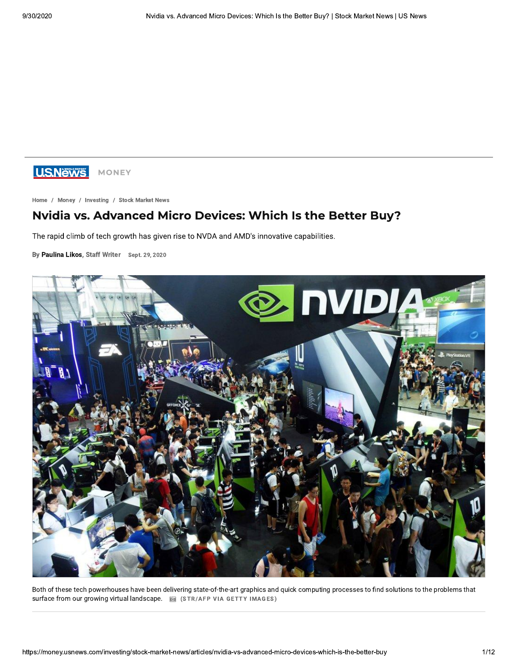

Home / Money / Investing / Stock Market News

# **Nvidia vs. Advanced Micro Devices: Which Is the Better Buy?**

The rapid climb of tech growth has given rise to NVDA and AMD's innovative capabilities.

By Paulina Likos, Staff Writer Sept. 29, 2020



Both of these tech powerhouses have been delivering state-of-the-art graphics and quick computing processes to find solutions to the problems that surface from our growing virtual landscape. a (STR/AFP VIA GETTY IMAGES)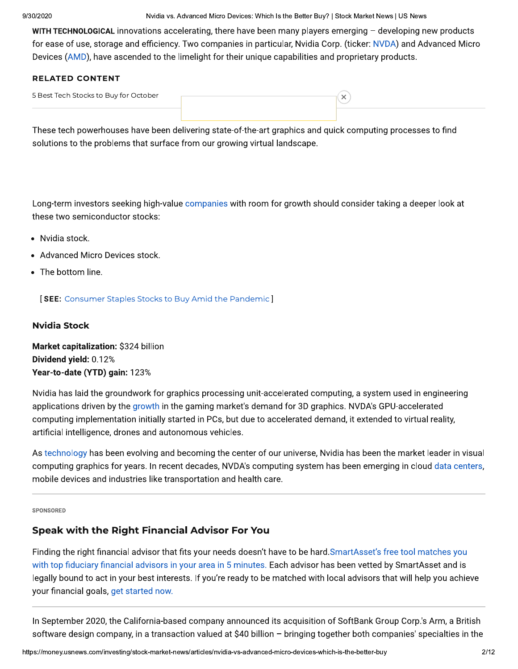Nvidia vs. Advanced Micro Devices: Which Is the Better Buy? | Stock Market News | US News

WITH TECHNOLOGICAL innovations accelerating, there have been many players emerging - developing new products for ease of use, storage and efficiency. Two companies in particular, Nvidia Corp. (ticker: NVDA) and Advanced Micro Devices (AMD), have ascended to the limelight for their unique capabilities and proprietary products.

# **RELATED CONTENT**

| 5 Best Tech Stocks to Buy for October |  |
|---------------------------------------|--|
|                                       |  |

These tech powerhouses have been delivering state-of-the-art graphics and quick computing processes to find solutions to the problems that surface from our growing virtual landscape.

Long-term investors seeking high-value companies with room for growth should consider taking a deeper look at these two semiconductor stocks:

- Nvidia stock.
- Advanced Micro Devices stock.
- The bottom line.

**[SEE:** Consumer Staples Stocks to Buy Amid the Pandemic]

# **Nvidia Stock**

Market capitalization: \$324 billion Dividend yield: 0.12% Year-to-date (YTD) gain: 123%

Nvidia has laid the groundwork for graphics processing unit-accelerated computing, a system used in engineering applications driven by the growth in the gaming market's demand for 3D graphics. NVDA's GPU-accelerated computing implementation initially started in PCs, but due to accelerated demand, it extended to virtual reality, artificial intelligence, drones and autonomous vehicles.

As technology has been evolving and becoming the center of our universe, Nvidia has been the market leader in visual computing graphics for years. In recent decades, NVDA's computing system has been emerging in cloud data centers, mobile devices and industries like transportation and health care.

#### SPONSORED

# **Speak with the Right Financial Advisor For You**

Finding the right financial advisor that fits your needs doesn't have to be hard. SmartAsset's free tool matches you with top fiduciary financial advisors in your area in 5 minutes. Each advisor has been vetted by SmartAsset and is legally bound to act in your best interests. If you're ready to be matched with local advisors that will help you achieve your financial goals, get started now.

In September 2020, the California-based company announced its acquisition of SoftBank Group Corp.'s Arm, a British software design company, in a transaction valued at \$40 billion - bringing together both companies' specialties in the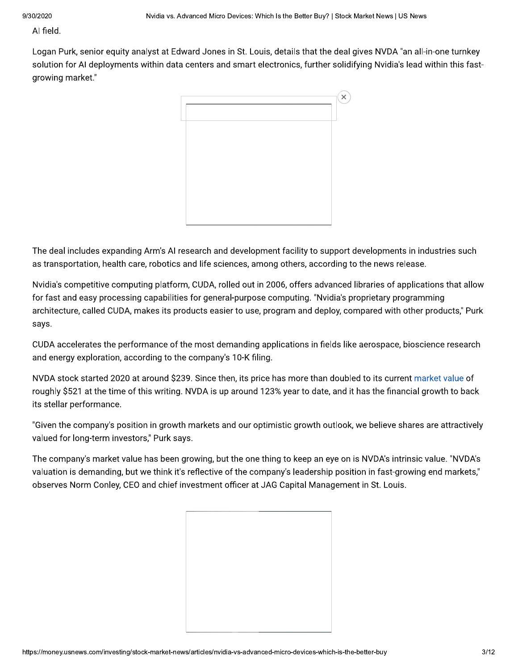Al field.

Logan Purk, senior equity analyst at Edward Jones in St. Louis, details that the deal gives NVDA "an all-in-one turnkey solution for AI deployments within data centers and smart electronics, further solidifying Nvidia's lead within this fastgrowing market."



The deal includes expanding Arm's AI research and development facility to support developments in industries such as transportation, health care, robotics and life sciences, among others, according to the news release.

Nvidia's competitive computing platform, CUDA, rolled out in 2006, offers advanced libraries of applications that allow for fast and easy processing capabilities for general-purpose computing. "Nvidia's proprietary programming architecture, called CUDA, makes its products easier to use, program and deploy, compared with other products," Purk says.

CUDA accelerates the performance of the most demanding applications in fields like aerospace, bioscience research and energy exploration, according to the company's 10-K filing.

NVDA stock started 2020 at around \$239. Since then, its price has more than doubled to its current market value of roughly \$521 at the time of this writing. NVDA is up around 123% year to date, and it has the financial growth to back its stellar performance.

"Given the company's position in growth markets and our optimistic growth outlook, we believe shares are attractively valued for long-term investors," Purk says.

The company's market value has been growing, but the one thing to keep an eye on is NVDA's intrinsic value. "NVDA's valuation is demanding, but we think it's reflective of the company's leadership position in fast-growing end markets," observes Norm Conley, CEO and chief investment officer at JAG Capital Management in St. Louis.

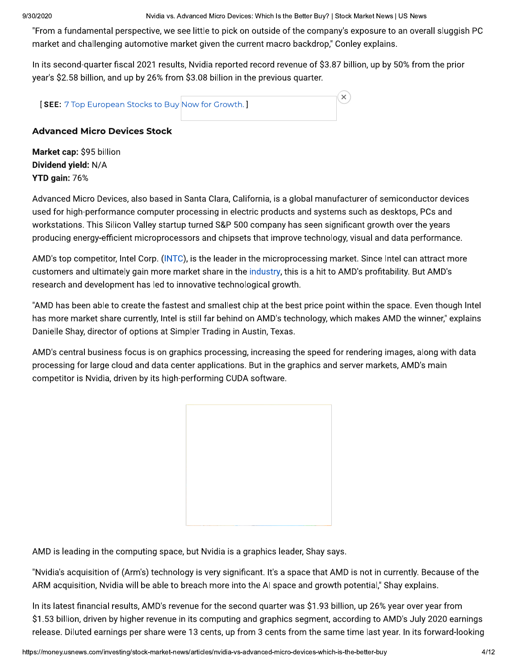Nvidia vs. Advanced Micro Devices: Which Is the Better Buy? | Stock Market News | US News

 $\mathbf{x}$ 

"From a fundamental perspective, we see little to pick on outside of the company's exposure to an overall sluggish PC market and challenging automotive market given the current macro backdrop," Conley explains.

In its second-quarter fiscal 2021 results, Nvidia reported record revenue of \$3.87 billion, up by 50% from the prior year's \$2.58 billion, and up by 26% from \$3.08 billion in the previous quarter.

**SEE:** 7 Top European Stocks to Buy Now for Growth.

# **Advanced Micro Devices Stock**

Market cap: \$95 billion Dividend yield: N/A YTD gain: 76%

Advanced Micro Devices, also based in Santa Clara, California, is a global manufacturer of semiconductor devices used for high-performance computer processing in electric products and systems such as desktops, PCs and workstations. This Silicon Valley startup turned S&P 500 company has seen significant growth over the years producing energy-efficient microprocessors and chipsets that improve technology, visual and data performance.

AMD's top competitor, Intel Corp. (INTC), is the leader in the microprocessing market. Since Intel can attract more customers and ultimately gain more market share in the industry, this is a hit to AMD's profitability. But AMD's research and development has led to innovative technological growth.

"AMD has been able to create the fastest and smallest chip at the best price point within the space. Even though Intel has more market share currently, Intel is still far behind on AMD's technology, which makes AMD the winner," explains Danielle Shay, director of options at Simpler Trading in Austin, Texas.

AMD's central business focus is on graphics processing, increasing the speed for rendering images, along with data processing for large cloud and data center applications. But in the graphics and server markets, AMD's main competitor is Nvidia, driven by its high-performing CUDA software.



AMD is leading in the computing space, but Nvidia is a graphics leader, Shay says.

"Nvidia's acquisition of (Arm's) technology is very significant. It's a space that AMD is not in currently. Because of the ARM acquisition, Nvidia will be able to breach more into the AI space and growth potential," Shay explains.

In its latest financial results, AMD's revenue for the second quarter was \$1.93 billion, up 26% year over year from \$1.53 billion, driven by higher revenue in its computing and graphics segment, according to AMD's July 2020 earnings release. Diluted earnings per share were 13 cents, up from 3 cents from the same time last year. In its forward-looking